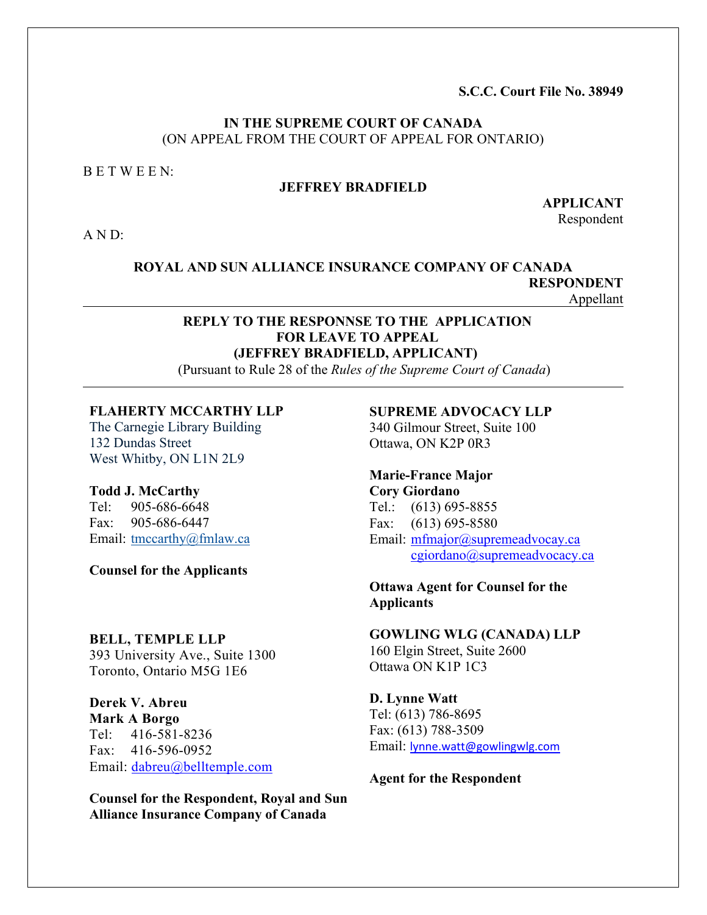**S.C.C. Court File No. 38949**

## **IN THE SUPREME COURT OF CANADA** (ON APPEAL FROM THE COURT OF APPEAL FOR ONTARIO)

B E T W E E N:

## **JEFFREY BRADFIELD**

**APPLICANT** Respondent

A N D:

**ROYAL AND SUN ALLIANCE INSURANCE COMPANY OF CANADA RESPONDENT**  Appellant

## **REPLY TO THE RESPONNSE TO THE APPLICATION FOR LEAVE TO APPEAL (JEFFREY BRADFIELD, APPLICANT)**

(Pursuant to Rule 28 of the *Rules of the Supreme Court of Canada*)

### **[FLAHERTY MCCARTHY LLP](https://app.clio.com/nc/#/contacts/v1/901839405)**

The Carnegie Library Building 132 Dundas Street West Whitby, ON L1N 2L9

#### **Todd J. McCarthy**  Tel: 905-686-6648

Fax: 905-686-6447 Email: tmccarthy@fmlaw.ca

**Counsel for the Applicants**

### **[BELL, TEMPLE LLP](https://www.canadianlawlist.com/listingdetail/company/bell-temple-llp-688662/)**

393 University Ave., Suite 1300 Toronto, Ontario M5G 1E6

**Derek V. Abreu Mark A Borgo**  Tel: 416-581-8236 Fax: 416-596-0952 Email: [dabreu@belltemple.com](mailto:dabreu@belltemple.com)

**Counsel for the Respondent, Royal and Sun Alliance Insurance Company of Canada** 

**SUPREME ADVOCACY LLP** 340 Gilmour Street, Suite 100 Ottawa, ON K2P 0R3

## **Marie-France Major Cory Giordano**  Tel.: (613) 695-8855 Fax: (613) 695-8580 Email: [mfmajor@supremeadvocay.ca](mailto:mfmajor@supremeadvocay.ca) [cgiordano@supremeadvocacy.ca](mailto:cgiordano@supremeadvocacy.ca)

## **Ottawa Agent for Counsel for the Applicants**

**GOWLING WLG (CANADA) LLP** 160 Elgin Street, Suite 2600 Ottawa ON K1P 1C3

## **D. Lynne Watt** Tel: (613) 786-8695 Fax: (613) 788-3509 Email: [lynne.watt@gowlingwlg.com](mailto:lynne.watt@gowlingwlg.com)

**Agent for the Respondent**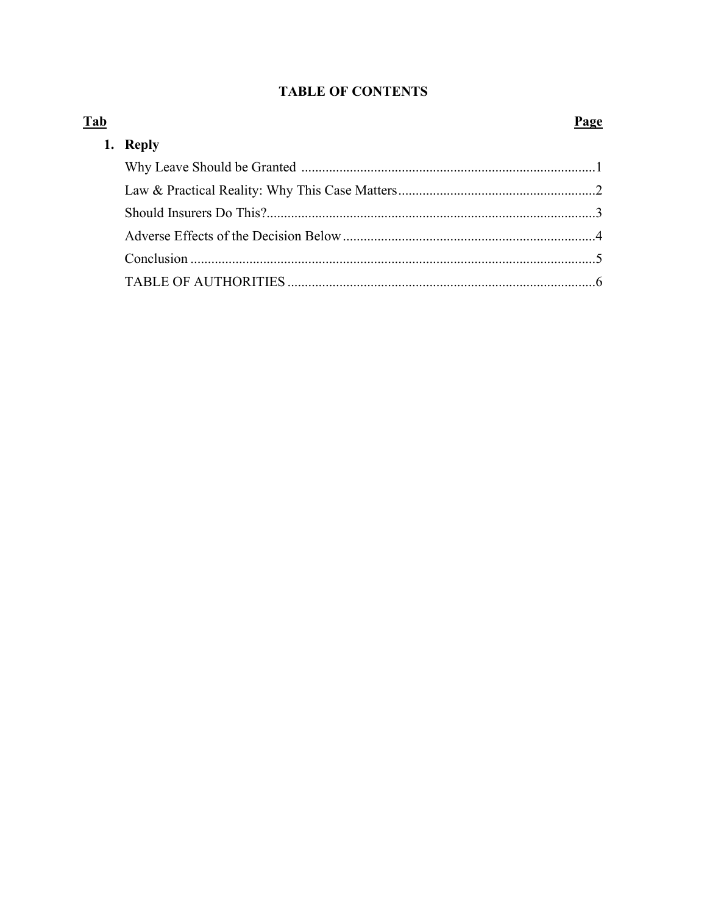# **TABLE OF CONTENTS**

| <b>Reply</b> |  |
|--------------|--|
|              |  |
|              |  |
|              |  |
|              |  |
|              |  |
|              |  |

# $\mathbf{D}$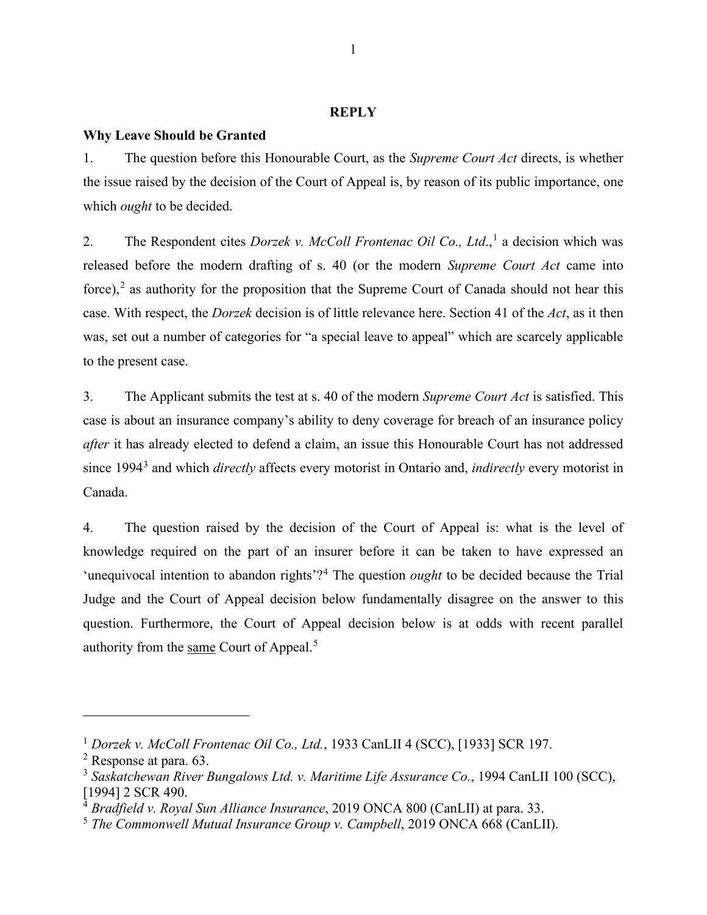### **REPLY**

### **Why Leave Should be Granted**

1. The question before this Honourable Court, as the *Supreme Court Act* directs, is whether the issue raised by the decision of the Court of Appeal is, by reason of its public importance, one which *ought* to be decided.

2. The Respondent cites *Dorzek v. McColl Frontenac Oil Co., Ltd.*,<sup>[1](#page-2-0)</sup> a decision which was released before the modern drafting of s. 40 (or the modern *Supreme Court Act* came into force),<sup>[2](#page-2-1)</sup> as authority for the proposition that the Supreme Court of Canada should not hear this case. With respect, the *Dorzek* decision is of little relevance here. Section 41 of the *Act*, as it then was, set out a number of categories for "a special leave to appeal" which are scarcely applicable to the present case.

3. The Applicant submits the test at s. 40 of the modern *Supreme Court Act* is satisfied. This case is about an insurance company's ability to deny coverage for breach of an insurance policy *after* it has already elected to defend a claim, an issue this Honourable Court has not addressed since 1994[3](#page-2-2) and which *directly* affects every motorist in Ontario and, *indirectly* every motorist in Canada.

4. The question raised by the decision of the Court of Appeal is: what is the level of knowledge required on the part of an insurer before it can be taken to have expressed an 'unequivocal intention to abandon rights'?[4](#page-2-3) The question *ought* to be decided because the Trial Judge and the Court of Appeal decision below fundamentally disagree on the answer to this question. Furthermore, the Court of Appeal decision below is at odds with recent parallel authority from the same Court of Appeal.[5](#page-2-4)

<span id="page-2-0"></span><sup>1</sup> *Dorzek v. McColl Frontenac Oil Co., Ltd.*, 1933 CanLII 4 (SCC), [1933] SCR 197.

<span id="page-2-1"></span><sup>2</sup> Response at para. 63.

<span id="page-2-2"></span><sup>3</sup> *Saskatchewan River Bungalows Ltd. v. Maritime Life Assurance Co.*, 1994 CanLII 100 (SCC), [1994] 2 SCR 490.

<span id="page-2-3"></span><sup>4</sup> *Bradfield v. Royal Sun Alliance Insurance*, 2019 ONCA 800 (CanLII) at para. 33.

<span id="page-2-4"></span><sup>5</sup> *The Commonwell Mutual Insurance Group v. Campbell*, 2019 ONCA 668 (CanLII).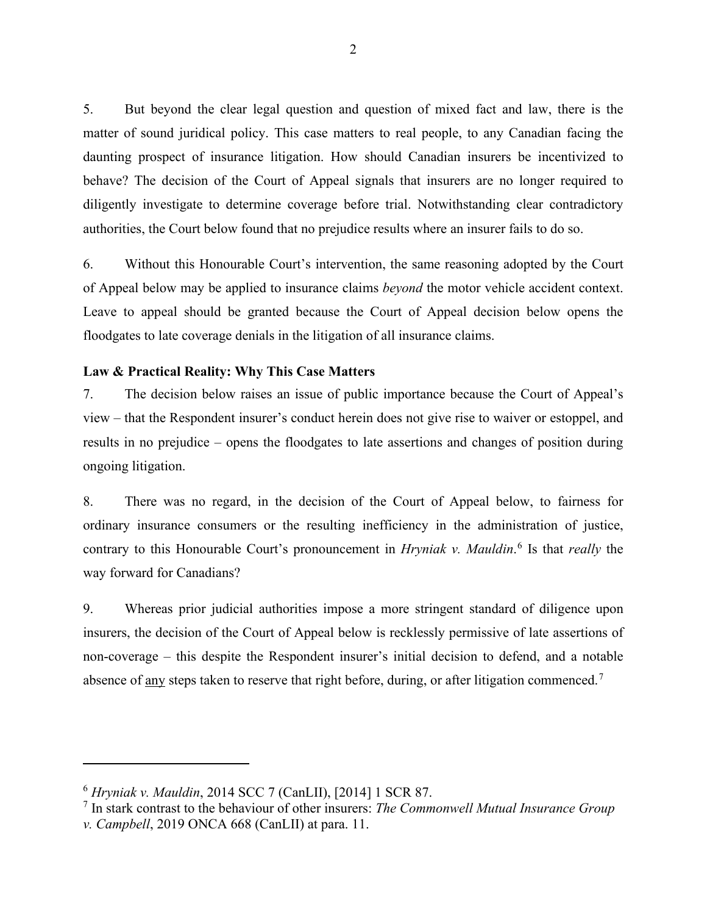5. But beyond the clear legal question and question of mixed fact and law, there is the matter of sound juridical policy. This case matters to real people, to any Canadian facing the daunting prospect of insurance litigation. How should Canadian insurers be incentivized to behave? The decision of the Court of Appeal signals that insurers are no longer required to diligently investigate to determine coverage before trial. Notwithstanding clear contradictory authorities, the Court below found that no prejudice results where an insurer fails to do so.

6. Without this Honourable Court's intervention, the same reasoning adopted by the Court of Appeal below may be applied to insurance claims *beyond* the motor vehicle accident context. Leave to appeal should be granted because the Court of Appeal decision below opens the floodgates to late coverage denials in the litigation of all insurance claims.

## **Law & Practical Reality: Why This Case Matters**

7. The decision below raises an issue of public importance because the Court of Appeal's view – that the Respondent insurer's conduct herein does not give rise to waiver or estoppel, and results in no prejudice – opens the floodgates to late assertions and changes of position during ongoing litigation.

8. There was no regard, in the decision of the Court of Appeal below, to fairness for ordinary insurance consumers or the resulting inefficiency in the administration of justice, contrary to this Honourable Court's pronouncement in *Hryniak v. Mauldin*. [6](#page-3-0) Is that *really* the way forward for Canadians?

9. Whereas prior judicial authorities impose a more stringent standard of diligence upon insurers, the decision of the Court of Appeal below is recklessly permissive of late assertions of non-coverage – this despite the Respondent insurer's initial decision to defend, and a notable absence of any steps taken to reserve that right before, during, or after litigation commenced.<sup>[7](#page-3-1)</sup>

<span id="page-3-0"></span><sup>6</sup> *Hryniak v. Mauldin*, 2014 SCC 7 (CanLII), [2014] 1 SCR 87.

<span id="page-3-1"></span><sup>7</sup> In stark contrast to the behaviour of other insurers: *The Commonwell Mutual Insurance Group v. Campbell*, 2019 ONCA 668 (CanLII) at para. 11.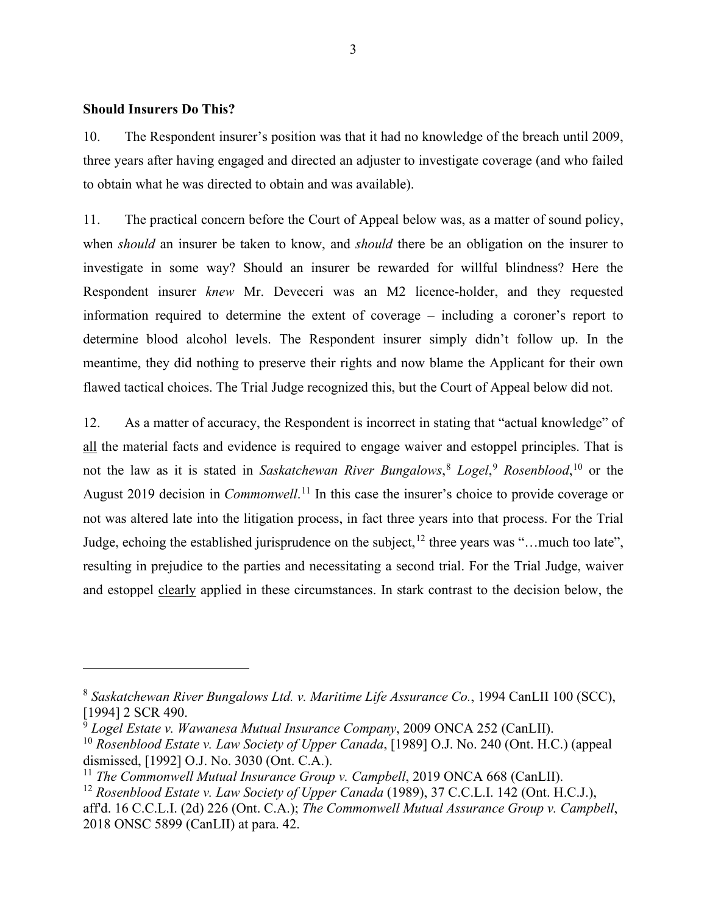### **Should Insurers Do This?**

10. The Respondent insurer's position was that it had no knowledge of the breach until 2009, three years after having engaged and directed an adjuster to investigate coverage (and who failed to obtain what he was directed to obtain and was available).

11. The practical concern before the Court of Appeal below was, as a matter of sound policy, when *should* an insurer be taken to know, and *should* there be an obligation on the insurer to investigate in some way? Should an insurer be rewarded for willful blindness? Here the Respondent insurer *knew* Mr. Deveceri was an M2 licence-holder, and they requested information required to determine the extent of coverage – including a coroner's report to determine blood alcohol levels. The Respondent insurer simply didn't follow up. In the meantime, they did nothing to preserve their rights and now blame the Applicant for their own flawed tactical choices. The Trial Judge recognized this, but the Court of Appeal below did not.

12. As a matter of accuracy, the Respondent is incorrect in stating that "actual knowledge" of all the material facts and evidence is required to engage waiver and estoppel principles. That is not the law as it is stated in *Saskatchewan River Bungalows*, [8](#page-4-0) *Logel*, [9](#page-4-1) *Rosenblood*, [10](#page-4-2) or the August 2019 decision in *Commonwell*. [11](#page-4-3) In this case the insurer's choice to provide coverage or not was altered late into the litigation process, in fact three years into that process. For the Trial Judge, echoing the established jurisprudence on the subject,  $12$  three years was "... much too late", resulting in prejudice to the parties and necessitating a second trial. For the Trial Judge, waiver and estoppel clearly applied in these circumstances. In stark contrast to the decision below, the

<span id="page-4-0"></span><sup>8</sup> *Saskatchewan River Bungalows Ltd. v. Maritime Life Assurance Co.*, 1994 CanLII 100 (SCC), [1994] 2 SCR 490.

<span id="page-4-1"></span><sup>9</sup> *Logel Estate v. Wawanesa Mutual Insurance Company*, 2009 ONCA 252 (CanLII).

<span id="page-4-2"></span><sup>10</sup> *Rosenblood Estate v. Law Society of Upper Canada*, [1989] O.J. No. 240 (Ont. H.C.) (appeal dismissed, [1992] O.J. No. 3030 (Ont. C.A.).

<span id="page-4-3"></span><sup>&</sup>lt;sup>11</sup> *The Commonwell Mutual Insurance Group v. Campbell*, 2019 ONCA 668 (CanLII).

<span id="page-4-4"></span><sup>12</sup> *Rosenblood Estate v. Law Society of Upper Canada* (1989), 37 C.C.L.I. 142 (Ont. H.C.J.),

aff'd. 16 C.C.L.I. (2d) 226 (Ont. C.A.); *The Commonwell Mutual Assurance Group v. Campbell*, 2018 ONSC 5899 (CanLII) at para. 42.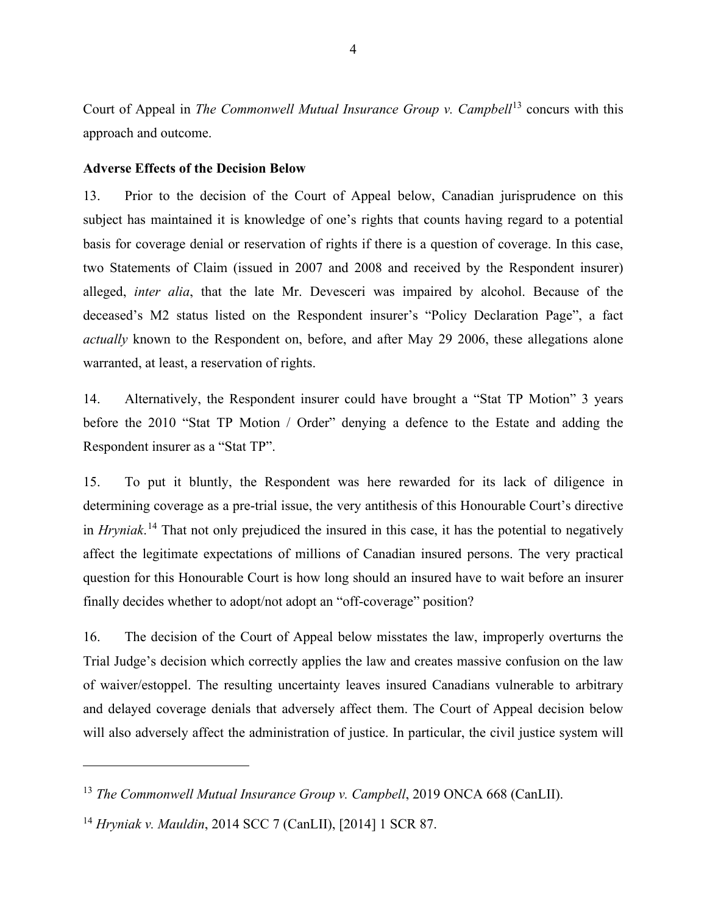Court of Appeal in *The Commonwell Mutual Insurance Group v. Campbell*<sup>[13](#page-5-0)</sup> concurs with this approach and outcome.

## **Adverse Effects of the Decision Below**

13. Prior to the decision of the Court of Appeal below, Canadian jurisprudence on this subject has maintained it is knowledge of one's rights that counts having regard to a potential basis for coverage denial or reservation of rights if there is a question of coverage. In this case, two Statements of Claim (issued in 2007 and 2008 and received by the Respondent insurer) alleged, *inter alia*, that the late Mr. Devesceri was impaired by alcohol. Because of the deceased's M2 status listed on the Respondent insurer's "Policy Declaration Page", a fact *actually* known to the Respondent on, before, and after May 29 2006, these allegations alone warranted, at least, a reservation of rights.

14. Alternatively, the Respondent insurer could have brought a "Stat TP Motion" 3 years before the 2010 "Stat TP Motion / Order" denying a defence to the Estate and adding the Respondent insurer as a "Stat TP".

15. To put it bluntly, the Respondent was here rewarded for its lack of diligence in determining coverage as a pre-trial issue, the very antithesis of this Honourable Court's directive in *Hryniak*. [14](#page-5-1) That not only prejudiced the insured in this case, it has the potential to negatively affect the legitimate expectations of millions of Canadian insured persons. The very practical question for this Honourable Court is how long should an insured have to wait before an insurer finally decides whether to adopt/not adopt an "off-coverage" position?

16. The decision of the Court of Appeal below misstates the law, improperly overturns the Trial Judge's decision which correctly applies the law and creates massive confusion on the law of waiver/estoppel. The resulting uncertainty leaves insured Canadians vulnerable to arbitrary and delayed coverage denials that adversely affect them. The Court of Appeal decision below will also adversely affect the administration of justice. In particular, the civil justice system will

<span id="page-5-0"></span><sup>&</sup>lt;sup>13</sup> *The Commonwell Mutual Insurance Group v. Campbell*, 2019 ONCA 668 (CanLII).

<span id="page-5-1"></span><sup>14</sup> *Hryniak v. Mauldin*, 2014 SCC 7 (CanLII), [\[2014\] 1 SCR 87.](http://canlii.ca/t/g2s18)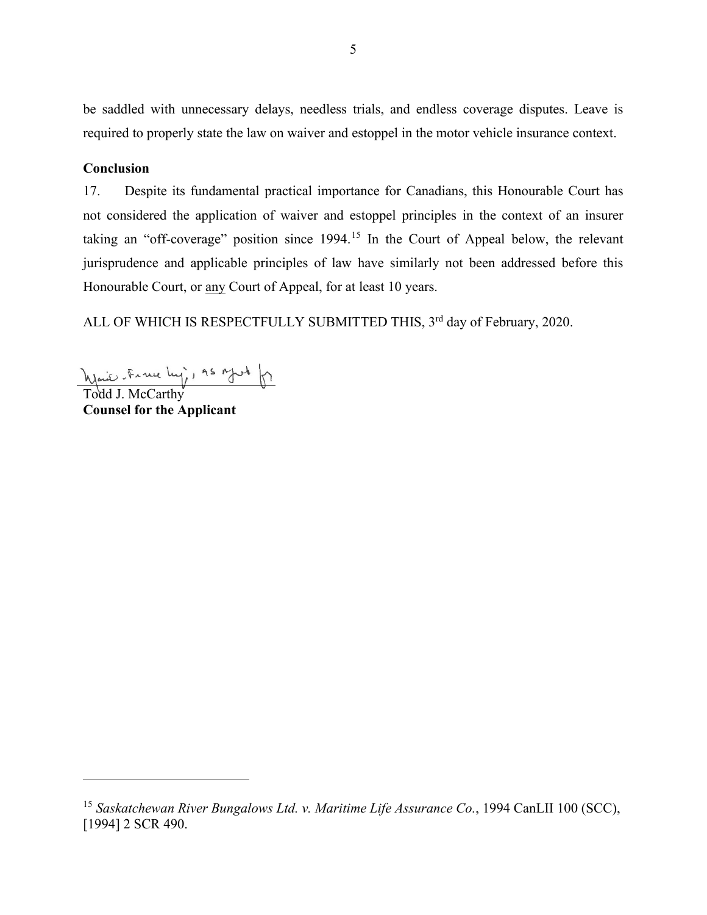be saddled with unnecessary delays, needless trials, and endless coverage disputes. Leave is required to properly state the law on waiver and estoppel in the motor vehicle insurance context.

### **Conclusion**

17. Despite its fundamental practical importance for Canadians, this Honourable Court has not considered the application of waiver and estoppel principles in the context of an insurer taking an "off-coverage" position since 1994.<sup>[15](#page-6-0)</sup> In the Court of Appeal below, the relevant jurisprudence and applicable principles of law have similarly not been addressed before this Honourable Court, or any Court of Appeal, for at least 10 years.

ALL OF WHICH IS RESPECTFULLY SUBMITTED THIS, 3<sup>rd</sup> day of February, 2020.

Waie France Ly, AS Moth of

**Counsel for the Applicant**

<span id="page-6-0"></span><sup>15</sup> *Saskatchewan River Bungalows Ltd. v. Maritime Life Assurance Co.*, 1994 CanLII 100 (SCC), [1994] 2 SCR 490.